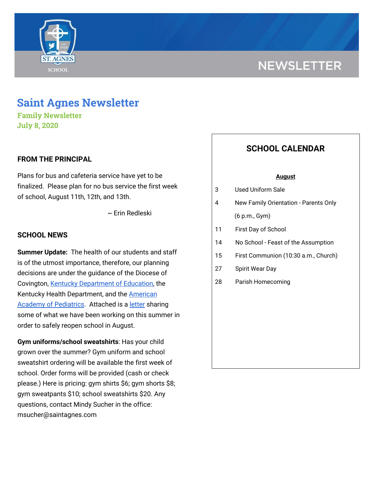

# **NEWSLETTER**

## **Saint Agnes Newsletter**

**Family Newsletter July 8, 2020**

#### **FROM THE PRINCIPAL**

Plans for bus and cafeteria service have yet to be finalized. Please plan for no bus service the first week of school, August 11th, 12th, and 13th.

~ Erin Redleski

#### **SCHOOL NEWS**

**Summer Update:** The health of our students and staff is of the utmost importance, therefore, our planning decisions are under the guidance of the Diocese of Covington, Kentucky [Department](https://education.ky.gov/comm/Documents/Safety%20Expectations_FINAL%20DOC.pdf) of Education, the Kentucky Health Department, and the [American](https://services.aap.org/en/pages/2019-novel-coronavirus-covid-19-infections/clinical-guidance/covid-19-planning-considerations-return-to-in-person-education-in-schools/) Academy of [Pediatrics](https://services.aap.org/en/pages/2019-novel-coronavirus-covid-19-infections/clinical-guidance/covid-19-planning-considerations-return-to-in-person-education-in-schools/). Attached is a [letter](https://school.saintagnes.com/wp-content/uploads/2020/07/Summer-Update-July-8-2020.pdf) sharing some of what we have been working on this summer in order to safely reopen school in August.

**Gym uniforms/school sweatshirts**: Has your child grown over the summer? Gym uniform and school sweatshirt ordering will be available the first week of school. Order forms will be provided (cash or check please.) Here is pricing: gym shirts \$6; gym shorts \$8; gym sweatpants \$10; school sweatshirts \$20. Any questions, contact Mindy Sucher in the office: msucher@saintagnes.com

### **SCHOOL CALENDAR**

#### **August**

- 3 Used Uniform Sale
- 4 New Family Orientation Parents Only (6 p.m., Gym)
- 11 First Day of School
- 14 No School Feast of the Assumption
- 15 First Communion (10:30 a.m., Church)
- 27 Spirit Wear Day
- 28 Parish Homecoming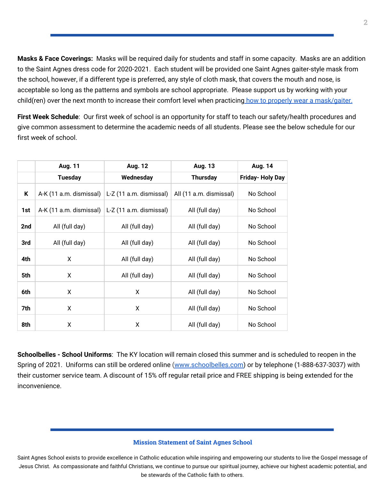**Masks & Face Coverings:** Masks will be required daily for students and staff in some capacity. Masks are an addition to the Saint Agnes dress code for 2020-2021. Each student will be provided one Saint Agnes gaiter-style mask from the school, however, if a different type is preferred, any style of cloth mask, that covers the mouth and nose, is acceptable so long as the patterns and symbols are school appropriate. Please support us by working with your child(ren) over the next month to increase their comfort level when practicing how to properly wear a [mask/gaiter.](https://school.saintagnes.com/wp-content/uploads/2020/07/wearing-a-cloth-face-covering.pdf)

**First Week Schedule**: Our first week of school is an opportunity for staff to teach our safety/health procedures and give common assessment to determine the academic needs of all students. Please see the below schedule for our first week of school.

|     | <b>Aug. 11</b>          | <b>Aug. 12</b>          | Aug. 13                 | Aug. 14          |
|-----|-------------------------|-------------------------|-------------------------|------------------|
|     | <b>Tuesday</b>          | Wednesday               | <b>Thursday</b>         | Friday- Holy Day |
| Κ   | A-K (11 a.m. dismissal) | L-Z (11 a.m. dismissal) | All (11 a.m. dismissal) | No School        |
| 1st | A-K (11 a.m. dismissal) | L-Z (11 a.m. dismissal) | All (full day)          | No School        |
| 2nd | All (full day)          | All (full day)          | All (full day)          | No School        |
| 3rd | All (full day)          | All (full day)          | All (full day)          | No School        |
| 4th | X                       | All (full day)          | All (full day)          | No School        |
| 5th | X                       | All (full day)          | All (full day)          | No School        |
| 6th | X                       | X                       | All (full day)          | No School        |
| 7th | X                       | X                       | All (full day)          | No School        |
| 8th | X                       | x                       | All (full day)          | No School        |

**Schoolbelles - School Uniforms**: The KY location will remain closed this summer and is scheduled to reopen in the Spring of 2021. Uniforms can still be ordered online [\(www.schoolbelles.com\)](http://www.schoolbelles.com/) or by telephone (1-888-637-3037) with their customer service team. A discount of 15% off regular retail price and FREE shipping is being extended for the inconvenience.

#### **Mission Statement of Saint Agnes School**

Saint Agnes School exists to provide excellence in Catholic education while inspiring and empowering our students to live the Gospel message of Jesus Christ. As compassionate and faithful Christians, we continue to pursue our spiritual journey, achieve our highest academic potential, and be stewards of the Catholic faith to others.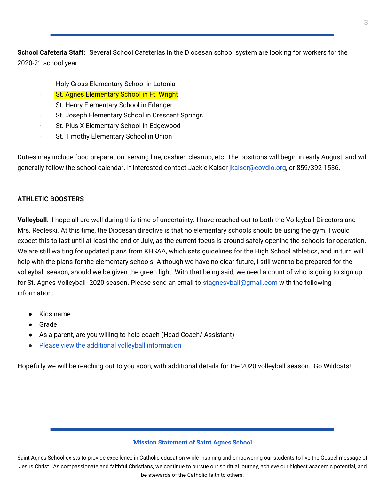**School Cafeteria Staff:** Several School Cafeterias in the Diocesan school system are looking for workers for the 2020-21 school year:

- · Holy Cross Elementary School in Latonia
- **St. Agnes Elementary School in Ft. Wright**
- St. Henry Elementary School in Erlanger
- · St. Joseph Elementary School in Crescent Springs
- · St. Pius X Elementary School in Edgewood
- · St. Timothy Elementary School in Union

Duties may include food preparation, serving line, cashier, cleanup, etc. The positions will begin in early August, and will generally follow the school calendar. If interested contact Jackie Kaiser jkaiser@covdio.org, or 859/392-1536.

#### **ATHLETIC BOOSTERS**

**Volleyball**: I hope all are well during this time of uncertainty. I have reached out to both the Volleyball Directors and Mrs. Redleski. At this time, the Diocesan directive is that no elementary schools should be using the gym. I would expect this to last until at least the end of July, as the current focus is around safely opening the schools for operation. We are still waiting for updated plans from KHSAA, which sets guidelines for the High School athletics, and in turn will help with the plans for the elementary schools. Although we have no clear future, I still want to be prepared for the volleyball season, should we be given the green light. With that being said, we need a count of who is going to sign up for St. Agnes Volleyball- 2020 season. Please send an email to stagnesvball@gmail.com with the following information:

- Kids name
- Grade
- As a parent, are you willing to help coach (Head Coach/ Assistant)
- Please view the additional volleyball [information](https://school.saintagnes.com/wp-content/uploads/2020/07/Volleyball-Additional-Information-2020-2021.pdf)

Hopefully we will be reaching out to you soon, with additional details for the 2020 volleyball season. Go Wildcats!

#### **Mission Statement of Saint Agnes School**

Saint Agnes School exists to provide excellence in Catholic education while inspiring and empowering our students to live the Gospel message of Jesus Christ. As compassionate and faithful Christians, we continue to pursue our spiritual journey, achieve our highest academic potential, and be stewards of the Catholic faith to others.